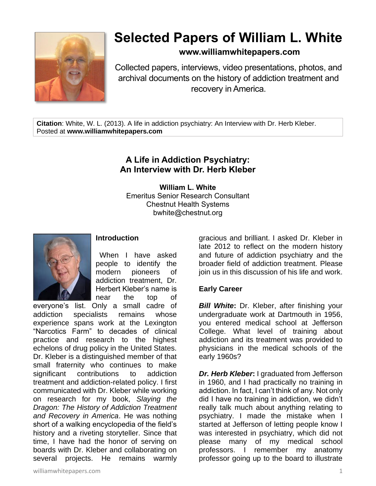

# **Selected Papers of William L. White**

**www.williamwhitepapers.com**

Collected papers, interviews, video presentations, photos, and archival documents on the history of addiction treatment and recovery in America.

**Citation**: White, W. L. (2013). A life in addiction psychiatry: An Interview with Dr. Herb Kleber. Posted at **www.williamwhitepapers.com**

# **A Life in Addiction Psychiatry: An Interview with Dr. Herb Kleber**

**William L. White** Emeritus Senior Research Consultant Chestnut Health Systems bwhite@chestnut.org



# **Introduction**

When I have asked people to identify the modern pioneers of addiction treatment, Dr. Herbert Kleber's name is near the top of

everyone's list. Only a small cadre of addiction specialists remains whose experience spans work at the Lexington "Narcotics Farm" to decades of clinical practice and research to the highest echelons of drug policy in the United States. Dr. Kleber is a distinguished member of that small fraternity who continues to make significant contributions to addiction treatment and addiction-related policy. I first communicated with Dr. Kleber while working on research for my book, *Slaying the Dragon: The History of Addiction Treatment and Recovery in America*. He was nothing short of a walking encyclopedia of the field's history and a riveting storyteller. Since that time, I have had the honor of serving on boards with Dr. Kleber and collaborating on several projects. He remains warmly

gracious and brilliant. I asked Dr. Kleber in late 2012 to reflect on the modern history and future of addiction psychiatry and the broader field of addiction treatment. Please join us in this discussion of his life and work.

# **Early Career**

**Bill White:** Dr. Kleber, after finishing your undergraduate work at Dartmouth in 1956, you entered medical school at Jefferson College. What level of training about addiction and its treatment was provided to physicians in the medical schools of the early 1960s?

*Dr. Herb Kleber***:** I graduated from Jefferson in 1960, and I had practically no training in addiction. In fact, I can't think of any. Not only did I have no training in addiction, we didn't really talk much about anything relating to psychiatry. I made the mistake when I started at Jefferson of letting people know I was interested in psychiatry, which did not please many of my medical school professors. I remember my anatomy professor going up to the board to illustrate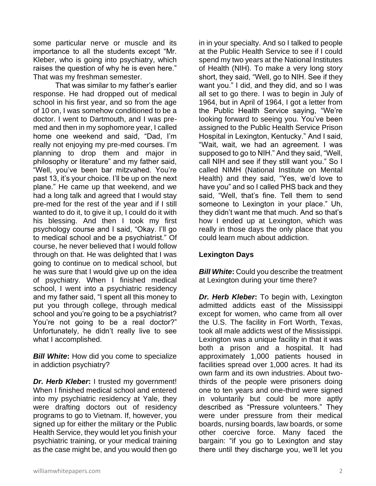some particular nerve or muscle and its importance to all the students except "Mr. Kleber, who is going into psychiatry, which raises the question of why he is even here." That was my freshman semester.

That was similar to my father's earlier response. He had dropped out of medical school in his first year, and so from the age of 10 on, I was somehow conditioned to be a doctor. I went to Dartmouth, and I was premed and then in my sophomore year, I called home one weekend and said, "Dad, I'm really not enjoying my pre-med courses. I'm planning to drop them and major in philosophy or literature" and my father said, "Well, you've been bar mitzvahed. You're past 13, it's your choice. I'll be up on the next plane." He came up that weekend, and we had a long talk and agreed that I would stay pre-med for the rest of the year and if I still wanted to do it, to give it up, I could do it with his blessing. And then I took my first psychology course and I said, "Okay. I'll go to medical school and be a psychiatrist." Of course, he never believed that I would follow through on that. He was delighted that I was going to continue on to medical school, but he was sure that I would give up on the idea of psychiatry. When I finished medical school, I went into a psychiatric residency and my father said, "I spent all this money to put you through college, through medical school and you're going to be a psychiatrist? You're not going to be a real doctor?" Unfortunately, he didn't really live to see what I accomplished.

*Bill White***:** How did you come to specialize in addiction psychiatry?

**Dr. Herb Kleber:** I trusted my government! When I finished medical school and entered into my psychiatric residency at Yale, they were drafting doctors out of residency programs to go to Vietnam. If, however, you signed up for either the military or the Public Health Service, they would let you finish your psychiatric training, or your medical training as the case might be, and you would then go in in your specialty. And so I talked to people at the Public Health Service to see if I could spend my two years at the National Institutes of Health (NIH). To make a very long story short, they said, "Well, go to NIH. See if they want you." I did, and they did, and so I was all set to go there. I was to begin in July of 1964, but in April of 1964, I got a letter from the Public Health Service saying, "We're looking forward to seeing you. You've been assigned to the Public Health Service Prison Hospital in Lexington, Kentucky." And I said, "Wait, wait, we had an agreement. I was supposed to go to NIH." And they said, "Well, call NIH and see if they still want you." So I called NIMH (National Institute on Mental Health) and they said, "Yes, we'd love to have you" and so I called PHS back and they said, "Well, that's fine. Tell them to send someone to Lexington in your place." Uh, they didn't want me that much. And so that's how I ended up at Lexington, which was really in those days the only place that you could learn much about addiction.

# **Lexington Days**

*Bill White***:** Could you describe the treatment at Lexington during your time there?

*Dr. Herb Kleber***:** To begin with, Lexington admitted addicts east of the Mississippi except for women, who came from all over the U.S. The facility in Fort Worth, Texas, took all male addicts west of the Mississippi. Lexington was a unique facility in that it was both a prison and a hospital. It had approximately 1,000 patients housed in facilities spread over 1,000 acres. It had its own farm and its own industries. About twothirds of the people were prisoners doing one to ten years and one-third were signed in voluntarily but could be more aptly described as "Pressure volunteers." They were under pressure from their medical boards, nursing boards, law boards, or some other coercive force. Many faced the bargain: "if you go to Lexington and stay there until they discharge you, we'll let you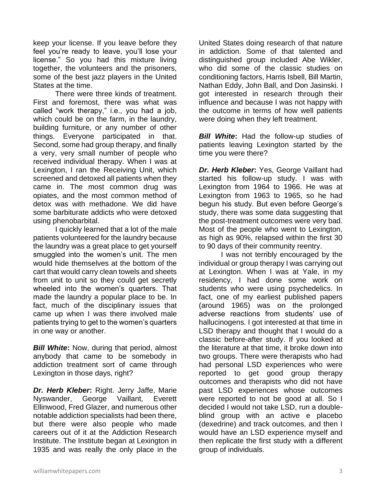keep your license. If you leave before they feel you're ready to leave, you'll lose your license." So you had this mixture living together, the volunteers and the prisoners, some of the best jazz players in the United States at the time.

There were three kinds of treatment. First and foremost, there was what was called "work therapy," i.e., you had a job, which could be on the farm, in the laundry, building furniture, or any number of other things. Everyone participated in that. Second, some had group therapy, and finally a very, very small number of people who received individual therapy. When I was at Lexington, I ran the Receiving Unit, which screened and detoxed all patients when they came in. The most common drug was opiates, and the most common method of detox was with methadone. We did have some barbiturate addicts who were detoxed using phenobarbital.

I quickly learned that a lot of the male patients volunteered for the laundry because the laundry was a great place to get yourself smuggled into the women's unit. The men would hide themselves at the bottom of the cart that would carry clean towels and sheets from unit to unit so they could get secretly wheeled into the women's quarters. That made the laundry a popular place to be. In fact, much of the disciplinary issues that came up when I was there involved male patients trying to get to the women's quarters in one way or another.

*Bill White***:** Now, during that period, almost anybody that came to be somebody in addiction treatment sort of came through Lexington in those days, right?

*Dr. Herb Kleber***:** Right. Jerry Jaffe, Marie Nyswander, George Vaillant, Everett Ellinwood, Fred Glazer, and numerous other notable addiction specialists had been there, but there were also people who made careers out of it at the Addiction Research Institute. The Institute began at Lexington in 1935 and was really the only place in the

United States doing research of that nature in addiction. Some of that talented and distinguished group included Abe Wikler, who did some of the classic studies on conditioning factors, Harris Isbell, Bill Martin, Nathan Eddy, John Ball, and Don Jasinski. I got interested in research through their influence and because I was not happy with the outcome in terms of how well patients were doing when they left treatment.

*Bill White***:** Had the follow-up studies of patients leaving Lexington started by the time you were there?

*Dr. Herb Kleber***:** Yes, George Vaillant had started his follow-up study. I was with Lexington from 1964 to 1966. He was at Lexington from 1963 to 1965, so he had begun his study. But even before George's study, there was some data suggesting that the post-treatment outcomes were very bad. Most of the people who went to Lexington, as high as 90%, relapsed within the first 30 to 90 days of their community reentry.

I was not terribly encouraged by the individual or group therapy I was carrying out at Lexington. When I was at Yale, in my residency, I had done some work on students who were using psychedelics. In fact, one of my earliest published papers (around 1965) was on the prolonged adverse reactions from students' use of hallucinogens. I got interested at that time in LSD therapy and thought that I would do a classic before-after study. If you looked at the literature at that time, it broke down into two groups. There were therapists who had had personal LSD experiences who were reported to get good group therapy outcomes and therapists who did not have past LSD experiences whose outcomes were reported to not be good at all. So I decided I would not take LSD, run a doubleblind group with an active e placebo (dexedrine) and track outcomes, and then I would have an LSD experience myself and then replicate the first study with a different group of individuals.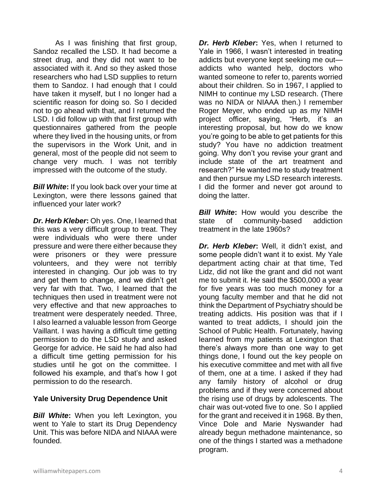As I was finishing that first group, Sandoz recalled the LSD. It had become a street drug, and they did not want to be associated with it. And so they asked those researchers who had LSD supplies to return them to Sandoz. I had enough that I could have taken it myself, but I no longer had a scientific reason for doing so. So I decided not to go ahead with that, and I returned the LSD. I did follow up with that first group with questionnaires gathered from the people where they lived in the housing units, or from the supervisors in the Work Unit, and in general, most of the people did not seem to change very much. I was not terribly impressed with the outcome of the study.

*Bill White***:** If you look back over your time at Lexington, were there lessons gained that influenced your later work?

*Dr. Herb Kleber***:** Oh yes. One, I learned that this was a very difficult group to treat. They were individuals who were there under pressure and were there either because they were prisoners or they were pressure volunteers, and they were not terribly interested in changing. Our job was to try and get them to change, and we didn't get very far with that. Two, I learned that the techniques then used in treatment were not very effective and that new approaches to treatment were desperately needed. Three, I also learned a valuable lesson from George Vaillant. I was having a difficult time getting permission to do the LSD study and asked George for advice. He said he had also had a difficult time getting permission for his studies until he got on the committee. I followed his example, and that's how I got permission to do the research.

#### **Yale University Drug Dependence Unit**

*Bill White***:** When you left Lexington, you went to Yale to start its Drug Dependency Unit. This was before NIDA and NIAAA were founded.

**Dr. Herb Kleber:** Yes, when I returned to Yale in 1966, I wasn't interested in treating addicts but everyone kept seeking me out addicts who wanted help, doctors who wanted someone to refer to, parents worried about their children. So in 1967, I applied to NIMH to continue my LSD research. (There was no NIDA or NIAAA then.) I remember Roger Meyer, who ended up as my NIMH project officer, saying, "Herb, it's an interesting proposal, but how do we know you're going to be able to get patients for this study? You have no addiction treatment going. Why don't you revise your grant and include state of the art treatment and research?" He wanted me to study treatment and then pursue my LSD research interests. I did the former and never got around to doing the latter.

**Bill White:** How would you describe the state of community-based addiction treatment in the late 1960s?

*Dr. Herb Kleber***:** Well, it didn't exist, and some people didn't want it to exist. My Yale department acting chair at that time, Ted Lidz, did not like the grant and did not want me to submit it. He said the \$500,000 a year for five years was too much money for a young faculty member and that he did not think the Department of Psychiatry should be treating addicts. His position was that if I wanted to treat addicts, I should join the School of Public Health. Fortunately, having learned from my patients at Lexington that there's always more than one way to get things done, I found out the key people on his executive committee and met with all five of them, one at a time. I asked if they had any family history of alcohol or drug problems and if they were concerned about the rising use of drugs by adolescents. The chair was out-voted five to one. So I applied for the grant and received it in 1968. By then, Vince Dole and Marie Nyswander had already begun methadone maintenance, so one of the things I started was a methadone program.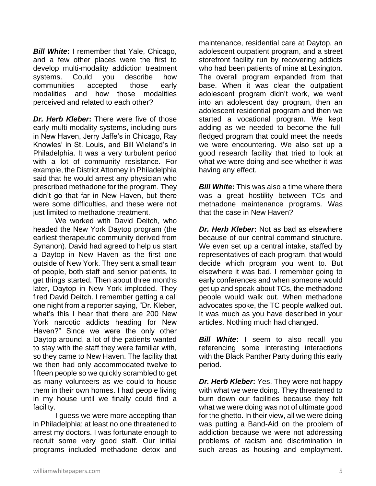*Bill White***:** I remember that Yale, Chicago, and a few other places were the first to develop multi-modality addiction treatment systems. Could you describe how communities accepted those early modalities and how those modalities perceived and related to each other?

*Dr. Herb Kleber***:** There were five of those early multi-modality systems, including ours in New Haven, Jerry Jaffe's in Chicago, Ray Knowles' in St. Louis, and Bill Wieland's in Philadelphia. It was a very turbulent period with a lot of community resistance. For example, the District Attorney in Philadelphia said that he would arrest any physician who prescribed methadone for the program. They didn't go that far in New Haven, but there were some difficulties, and these were not just limited to methadone treatment.

We worked with David Deitch, who headed the New York Daytop program (the earliest therapeutic community derived from Synanon). David had agreed to help us start a Daytop in New Haven as the first one outside of New York. They sent a small team of people, both staff and senior patients, to get things started. Then about three months later, Daytop in New York imploded. They fired David Deitch. I remember getting a call one night from a reporter saying, "Dr. Kleber, what's this I hear that there are 200 New York narcotic addicts heading for New Haven?" Since we were the only other Daytop around, a lot of the patients wanted to stay with the staff they were familiar with, so they came to New Haven. The facility that we then had only accommodated twelve to fifteen people so we quickly scrambled to get as many volunteers as we could to house them in their own homes. I had people living in my house until we finally could find a facility.

I guess we were more accepting than in Philadelphia; at least no one threatened to arrest my doctors. I was fortunate enough to recruit some very good staff. Our initial programs included methadone detox and

maintenance, residential care at Daytop, an adolescent outpatient program, and a street storefront facility run by recovering addicts who had been patients of mine at Lexington. The overall program expanded from that base. When it was clear the outpatient adolescent program didn't work, we went into an adolescent day program, then an adolescent residential program and then we started a vocational program. We kept adding as we needed to become the fullfledged program that could meet the needs we were encountering. We also set up a good research facility that tried to look at what we were doing and see whether it was having any effect.

*Bill White***:** This was also a time where there was a great hostility between TCs and methadone maintenance programs. Was that the case in New Haven?

*Dr. Herb Kleber***:** Not as bad as elsewhere because of our central command structure. We even set up a central intake, staffed by representatives of each program, that would decide which program you went to. But elsewhere it was bad. I remember going to early conferences and when someone would get up and speak about TCs, the methadone people would walk out. When methadone advocates spoke, the TC people walked out. It was much as you have described in your articles. Nothing much had changed.

*Bill White***:** I seem to also recall you referencing some interesting interactions with the Black Panther Party during this early period.

*Dr. Herb Kleber***:** Yes. They were not happy with what we were doing. They threatened to burn down our facilities because they felt what we were doing was not of ultimate good for the ghetto. In their view, all we were doing was putting a Band-Aid on the problem of addiction because we were not addressing problems of racism and discrimination in such areas as housing and employment.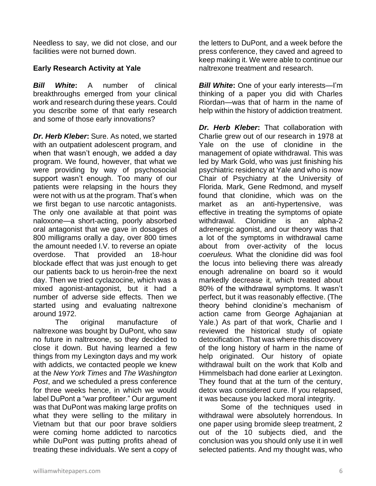Needless to say, we did not close, and our facilities were not burned down.

# **Early Research Activity at Yale**

*Bill White***:** A number of clinical breakthroughs emerged from your clinical work and research during these years. Could you describe some of that early research and some of those early innovations?

*Dr. Herb Kleber***:** Sure. As noted, we started with an outpatient adolescent program, and when that wasn't enough, we added a day program. We found, however, that what we were providing by way of psychosocial support wasn't enough. Too many of our patients were relapsing in the hours they were not with us at the program. That's when we first began to use narcotic antagonists. The only one available at that point was naloxone—a short-acting, poorly absorbed oral antagonist that we gave in dosages of 800 milligrams orally a day, over 800 times the amount needed I.V. to reverse an opiate overdose. That provided an 18-hour blockade effect that was just enough to get our patients back to us heroin-free the next day. Then we tried cyclazocine, which was a mixed agonist-antagonist, but it had a number of adverse side effects. Then we started using and evaluating naltrexone around 1972.

The original manufacture of naltrexone was bought by DuPont, who saw no future in naltrexone, so they decided to close it down. But having learned a few things from my Lexington days and my work with addicts, we contacted people we knew at the *New York Times* and *The Washington Post*, and we scheduled a press conference for three weeks hence, in which we would label DuPont a "war profiteer." Our argument was that DuPont was making large profits on what they were selling to the military in Vietnam but that our poor brave soldiers were coming home addicted to narcotics while DuPont was putting profits ahead of treating these individuals. We sent a copy of

the letters to DuPont, and a week before the press conference, they caved and agreed to keep making it. We were able to continue our naltrexone treatment and research.

*Bill White***:** One of your early interests—I'm thinking of a paper you did with Charles Riordan—was that of harm in the name of help within the history of addiction treatment.

*Dr. Herb Kleber***:** That collaboration with Charlie grew out of our research in 1978 at Yale on the use of clonidine in the management of opiate withdrawal. This was led by Mark Gold, who was just finishing his psychiatric residency at Yale and who is now Chair of Psychiatry at the University of Florida. Mark, Gene Redmond, and myself found that clonidine, which was on the market as an anti-hypertensive, was effective in treating the symptoms of opiate withdrawal. Clonidine is an alpha-2 adrenergic agonist, and our theory was that a lot of the symptoms in withdrawal came about from over-activity of the locus *coeruleus.* What the clonidine did was fool the locus into believing there was already enough adrenaline on board so it would markedly decrease it, which treated about 80% of the withdrawal symptoms. It wasn't perfect, but it was reasonably effective. (The theory behind clonidine's mechanism of action came from George Aghajanian at Yale.) As part of that work, Charlie and I reviewed the historical study of opiate detoxification. That was where this discovery of the long history of harm in the name of help originated. Our history of opiate withdrawal built on the work that Kolb and Himmelsbach had done earlier at Lexington. They found that at the turn of the century, detox was considered cure. If you relapsed, it was because you lacked moral integrity.

Some of the techniques used in withdrawal were absolutely horrendous. In one paper using bromide sleep treatment, 2 out of the 10 subjects died, and the conclusion was you should only use it in well selected patients. And my thought was, who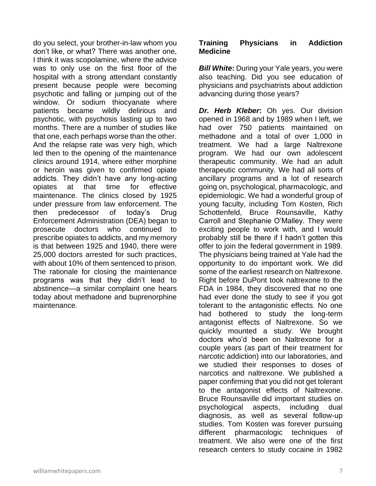do you select, your brother-in-law whom you don't like, or what? There was another one, I think it was scopolamine, where the advice was to only use on the first floor of the hospital with a strong attendant constantly present because people were becoming psychotic and falling or jumping out of the window. Or sodium thiocyanate where patients became wildly delirious and psychotic, with psychosis lasting up to two months. There are a number of studies like that one, each perhaps worse than the other. And the relapse rate was very high, which led then to the opening of the maintenance clinics around 1914, where either morphine or heroin was given to confirmed opiate addicts. They didn't have any long-acting opiates at that time for effective maintenance. The clinics closed by 1925 under pressure from law enforcement. The then predecessor of today's Drug Enforcement Administration (DEA) began to prosecute doctors who continued to prescribe opiates to addicts, and my memory is that between 1925 and 1940, there were 25,000 doctors arrested for such practices, with about 10% of them sentenced to prison. The rationale for closing the maintenance programs was that they didn't lead to abstinence—a similar complaint one hears today about methadone and buprenorphine maintenance.

#### **Training Physicians in Addiction Medicine**

*Bill White***:** During your Yale years, you were also teaching. Did you see education of physicians and psychiatrists about addiction advancing during those years?

*Dr. Herb Kleber***:** Oh yes. Our division opened in 1968 and by 1989 when I left, we had over 750 patients maintained on methadone and a total of over 1,000 in treatment. We had a large Naltrexone program. We had our own adolescent therapeutic community. We had an adult therapeutic community. We had all sorts of ancillary programs and a lot of research going on, psychological, pharmacologic, and epidemiologic. We had a wonderful group of young faculty, including Tom Kosten, Rich Schottenfeld, Bruce Rounsaville, Kathy Carroll and Stephanie O'Malley. They were exciting people to work with, and I would probably still be there if I hadn't gotten this offer to join the federal government in 1989. The physicians being trained at Yale had the opportunity to do important work. We did some of the earliest research on Naltrexone. Right before DuPont took naltrexone to the FDA in 1984, they discovered that no one had ever done the study to see if you got tolerant to the antagonistic effects. No one had bothered to study the long-term antagonist effects of Naltrexone. So we quickly mounted a study. We brought doctors who'd been on Naltrexone for a couple years (as part of their treatment for narcotic addiction) into our laboratories, and we studied their responses to doses of narcotics and naltrexone. We published a paper confirming that you did not get tolerant to the antagonist effects of Naltrexone. Bruce Rounsaville did important studies on psychological aspects, including dual diagnosis, as well as several follow-up studies. Tom Kosten was forever pursuing different pharmacologic techniques of treatment. We also were one of the first research centers to study cocaine in 1982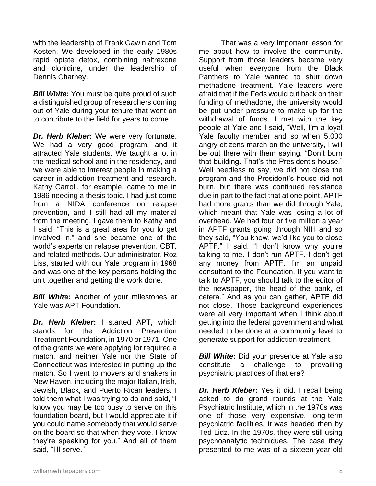with the leadership of Frank Gawin and Tom Kosten. We developed in the early 1980s rapid opiate detox, combining naltrexone and clonidine, under the leadership of Dennis Charney.

*Bill White***:** You must be quite proud of such a distinguished group of researchers coming out of Yale during your tenure that went on to contribute to the field for years to come.

*Dr. Herb Kleber***:** We were very fortunate. We had a very good program, and it attracted Yale students. We taught a lot in the medical school and in the residency, and we were able to interest people in making a career in addiction treatment and research. Kathy Carroll, for example, came to me in 1986 needing a thesis topic. I had just come from a NIDA conference on relapse prevention, and I still had all my material from the meeting. I gave them to Kathy and I said, "This is a great area for you to get involved in," and she became one of the world's experts on relapse prevention, CBT, and related methods. Our administrator, Roz Liss, started with our Yale program in 1968 and was one of the key persons holding the unit together and getting the work done.

*Bill White***:** Another of your milestones at Yale was APT Foundation.

*Dr. Herb Kleber***:** I started APT, which stands for the Addiction Prevention Treatment Foundation, in 1970 or 1971. One of the grants we were applying for required a match, and neither Yale nor the State of Connecticut was interested in putting up the match. So I went to movers and shakers in New Haven, including the major Italian, Irish, Jewish, Black, and Puerto Rican leaders. I told them what I was trying to do and said, "I know you may be too busy to serve on this foundation board, but I would appreciate it if you could name somebody that would serve on the board so that when they vote, I know they're speaking for you." And all of them said, "I'll serve."

That was a very important lesson for me about how to involve the community. Support from those leaders became very useful when everyone from the Black Panthers to Yale wanted to shut down methadone treatment. Yale leaders were afraid that if the Feds would cut back on their funding of methadone, the university would be put under pressure to make up for the withdrawal of funds. I met with the key people at Yale and I said, "Well, I'm a loyal Yale faculty member and so when 5,000 angry citizens march on the university, I will be out there with them saying, "Don't burn that building. That's the President's house." Well needless to say, we did not close the program and the President's house did not burn, but there was continued resistance due in part to the fact that at one point, APTF had more grants than we did through Yale, which meant that Yale was losing a lot of overhead. We had four or five million a year in APTF grants going through NIH and so they said, "You know, we'd like you to close APTF." I said, "I don't know why you're talking to me. I don't run APTF. I don't get any money from APTF. I'm an unpaid consultant to the Foundation. If you want to talk to APTF, you should talk to the editor of the newspaper, the head of the bank, et cetera." And as you can gather, APTF did not close. Those background experiences were all very important when I think about getting into the federal government and what needed to be done at a community level to generate support for addiction treatment.

*Bill White***:** Did your presence at Yale also constitute a challenge to prevailing psychiatric practices of that era?

*Dr. Herb Kleber***:** Yes it did. I recall being asked to do grand rounds at the Yale Psychiatric Institute, which in the 1970s was one of those very expensive, long-term psychiatric facilities. It was headed then by Ted Lidz. In the 1970s, they were still using psychoanalytic techniques. The case they presented to me was of a sixteen-year-old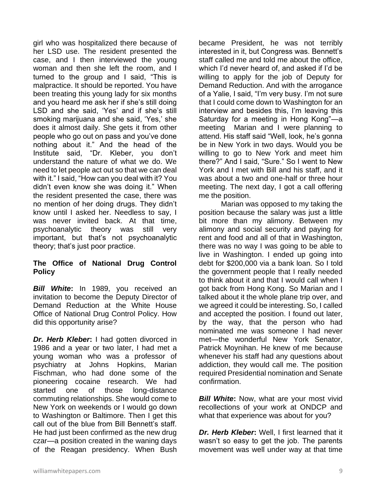girl who was hospitalized there because of her LSD use. The resident presented the case, and I then interviewed the young woman and then she left the room, and I turned to the group and I said, "This is malpractice. It should be reported. You have been treating this young lady for six months and you heard me ask her if she's still doing LSD and she said, 'Yes' and if she's still smoking marijuana and she said, 'Yes,' she does it almost daily. She gets it from other people who go out on pass and you've done nothing about it." And the head of the Institute said, "Dr. Kleber, you don't understand the nature of what we do. We need to let people act out so that we can deal with it." I said, "How can you deal with it? You didn't even know she was doing it." When the resident presented the case, there was no mention of her doing drugs. They didn't know until I asked her. Needless to say, I was never invited back. At that time, psychoanalytic theory was still very important, but that's not psychoanalytic theory; that's just poor practice.

#### **The Office of National Drug Control Policy**

*Bill White***:** In 1989, you received an invitation to become the Deputy Director of Demand Reduction at the White House Office of National Drug Control Policy. How did this opportunity arise?

*Dr. Herb Kleber***:** I had gotten divorced in 1986 and a year or two later, I had met a young woman who was a professor of psychiatry at Johns Hopkins, Marian Fischman, who had done some of the pioneering cocaine research. We had started one of those long-distance commuting relationships. She would come to New York on weekends or I would go down to Washington or Baltimore. Then I get this call out of the blue from Bill Bennett's staff. He had just been confirmed as the new drug czar—a position created in the waning days of the Reagan presidency. When Bush

became President, he was not terribly interested in it, but Congress was. Bennett's staff called me and told me about the office, which I'd never heard of, and asked if I'd be willing to apply for the job of Deputy for Demand Reduction. And with the arrogance of a Yalie, I said, "I'm very busy. I'm not sure that I could come down to Washington for an interview and besides this, I'm leaving this Saturday for a meeting in Hong Kong"—a meeting Marian and I were planning to attend. His staff said "Well, look, he's gonna be in New York in two days. Would you be willing to go to New York and meet him there?" And I said, "Sure." So I went to New York and I met with Bill and his staff, and it was about a two and one-half or three hour meeting. The next day, I got a call offering me the position.

Marian was opposed to my taking the position because the salary was just a little bit more than my alimony. Between my alimony and social security and paying for rent and food and all of that in Washington, there was no way I was going to be able to live in Washington. I ended up going into debt for \$200,000 via a bank loan. So I told the government people that I really needed to think about it and that I would call when I got back from Hong Kong. So Marian and I talked about it the whole plane trip over, and we agreed it could be interesting. So, I called and accepted the position. I found out later, by the way, that the person who had nominated me was someone I had never met—the wonderful New York Senator, Patrick Moynihan. He knew of me because whenever his staff had any questions about addiction, they would call me. The position required Presidential nomination and Senate confirmation.

*Bill White:* Now, what are your most vivid recollections of your work at ONDCP and what that experience was about for you?

*Dr. Herb Kleber***:** Well, I first learned that it wasn't so easy to get the job. The parents movement was well under way at that time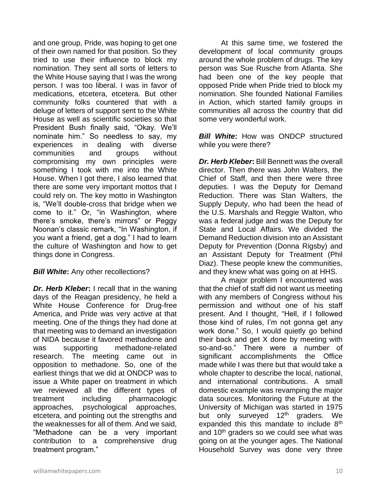and one group, Pride, was hoping to get one of their own named for that position. So they tried to use their influence to block my nomination. They sent all sorts of letters to the White House saying that I was the wrong person. I was too liberal. I was in favor of medications, etcetera, etcetera. But other community folks countered that with a deluge of letters of support sent to the White House as well as scientific societies so that President Bush finally said, "Okay. We'll nominate him." So needless to say, my experiences in dealing with diverse communities and groups without compromising my own principles were something I took with me into the White House. When I got there, I also learned that there are some very important mottos that I could rely on. The key motto in Washington is, "We'll double-cross that bridge when we come to it." Or, "in Washington, where there's smoke, there's mirrors" or Peggy Noonan's classic remark, "In Washington, if you want a friend, get a dog." I had to learn the culture of Washington and how to get things done in Congress.

#### **Bill White:** Any other recollections?

*Dr. Herb Kleber***:** I recall that in the waning days of the Reagan presidency, he held a White House Conference for Drug-free America, and Pride was very active at that meeting. One of the things they had done at that meeting was to demand an investigation of NIDA because it favored methadone and was supporting methadone-related research. The meeting came out in opposition to methadone. So, one of the earliest things that we did at ONDCP was to issue a White paper on treatment in which we reviewed all the different types of treatment including pharmacologic approaches, psychological approaches, etcetera, and pointing out the strengths and the weaknesses for all of them. And we said, "Methadone can be a very important contribution to a comprehensive drug treatment program."

At this same time, we fostered the development of local community groups around the whole problem of drugs. The key person was Sue Rusche from Atlanta. She had been one of the key people that opposed Pride when Pride tried to block my nomination. She founded National Families in Action, which started family groups in communities all across the country that did some very wonderful work.

*Bill White***:** How was ONDCP structured while you were there?

*Dr. Herb Kleber***:** Bill Bennett was the overall director. Then there was John Walters, the Chief of Staff, and then there were three deputies. I was the Deputy for Demand Reduction. There was Stan Walters, the Supply Deputy, who had been the head of the U.S. Marshals and Reggie Walton, who was a federal judge and was the Deputy for State and Local Affairs. We divided the Demand Reduction division into an Assistant Deputy for Prevention (Donna Rigsby) and an Assistant Deputy for Treatment (Phil Diaz). These people knew the communities, and they knew what was going on at HHS.

A major problem I encountered was that the chief of staff did not want us meeting with any members of Congress without his permission and without one of his staff present. And I thought, "Hell, if I followed those kind of rules, I'm not gonna get any work done." So, I would quietly go behind their back and get X done by meeting with so-and-so." There were a number of significant accomplishments the Office made while I was there but that would take a whole chapter to describe the local, national, and international contributions. A small domestic example was revamping the major data sources. Monitoring the Future at the University of Michigan was started in 1975 but only surveyed 12<sup>th</sup> graders. We expanded this this mandate to include  $8<sup>th</sup>$ and 10<sup>th</sup> graders so we could see what was going on at the younger ages. The National Household Survey was done very three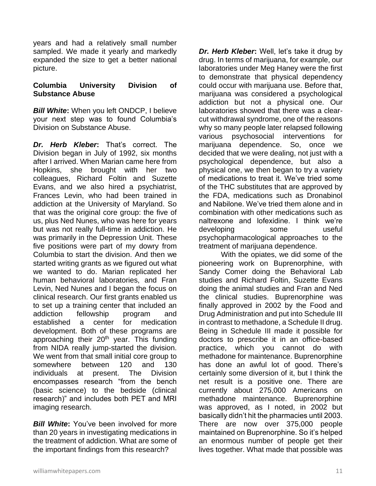years and had a relatively small number sampled. We made it yearly and markedly expanded the size to get a better national picture.

#### **Columbia University Division of Substance Abuse**

*Bill White***:** When you left ONDCP, I believe your next step was to found Columbia's Division on Substance Abuse.

*Dr. Herb Kleber***:** That's correct. The Division began in July of 1992, six months after I arrived. When Marian came here from Hopkins, she brought with her two colleagues, Richard Foltin and Suzette Evans, and we also hired a psychiatrist, Frances Levin, who had been trained in addiction at the University of Maryland. So that was the original core group: the five of us, plus Ned Nunes, who was here for years but was not really full-time in addiction. He was primarily in the Depression Unit. These five positions were part of my dowry from Columbia to start the division. And then we started writing grants as we figured out what we wanted to do. Marian replicated her human behavioral laboratories, and Fran Levin, Ned Nunes and I began the focus on clinical research. Our first grants enabled us to set up a training center that included an addiction fellowship program and established a center for medication development. Both of these programs are approaching their  $20<sup>th</sup>$  year. This funding from NIDA really jump-started the division. We went from that small initial core group to somewhere between 120 and 130 individuals at present. The Division encompasses research "from the bench (basic science) to the bedside (clinical research)" and includes both PET and MRI imaging research.

*Bill White***:** You've been involved for more than 20 years in investigating medications in the treatment of addiction. What are some of the important findings from this research?

*Dr. Herb Kleber***:** Well, let's take it drug by drug. In terms of marijuana, for example, our laboratories under Meg Haney were the first to demonstrate that physical dependency could occur with marijuana use. Before that, marijuana was considered a psychological addiction but not a physical one. Our laboratories showed that there was a clearcut withdrawal syndrome, one of the reasons why so many people later relapsed following various psychosocial interventions for marijuana dependence. So, once we decided that we were dealing, not just with a psychological dependence, but also a physical one, we then began to try a variety of medications to treat it. We've tried some of the THC substitutes that are approved by the FDA, medications such as Dronabinol and Nabilone. We've tried them alone and in combination with other medications such as naltrexone and lofexidine. I think we're developing some useful psychopharmacological approaches to the treatment of marijuana dependence.

With the opiates, we did some of the pioneering work on Buprenorphine, with Sandy Comer doing the Behavioral Lab studies and Richard Foltin, Suzette Evans doing the animal studies and Fran and Ned the clinical studies. Buprenorphine was finally approved in 2002 by the Food and Drug Administration and put into Schedule III in contrast to methadone, a Schedule II drug. Being in Schedule III made it possible for doctors to prescribe it in an office-based practice, which you cannot do with methadone for maintenance. Buprenorphine has done an awful lot of good. There's certainly some diversion of it, but I think the net result is a positive one. There are currently about 275,000 Americans on methadone maintenance. Buprenorphine was approved, as I noted, in 2002 but basically didn't hit the pharmacies until 2003. There are now over 375,000 people maintained on Buprenorphine. So it's helped an enormous number of people get their lives together. What made that possible was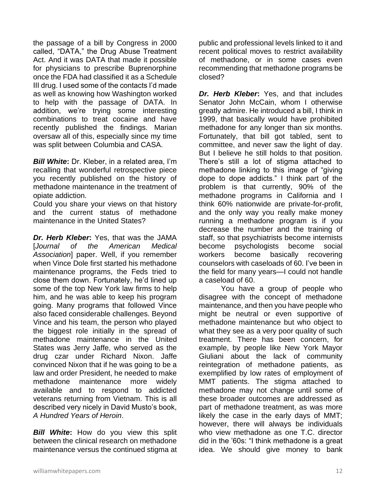the passage of a bill by Congress in 2000 called, "DATA," the Drug Abuse Treatment Act. And it was DATA that made it possible for physicians to prescribe Buprenorphine once the FDA had classified it as a Schedule III drug. I used some of the contacts I'd made as well as knowing how Washington worked to help with the passage of DATA. In addition, we're trying some interesting combinations to treat cocaine and have recently published the findings. Marian oversaw all of this, especially since my time was split between Columbia and CASA.

*Bill White***:** Dr. Kleber, in a related area, I'm recalling that wonderful retrospective piece you recently published on the history of methadone maintenance in the treatment of opiate addiction.

Could you share your views on that history and the current status of methadone maintenance in the United States?

*Dr. Herb Kleber***:** Yes, that was the JAMA [*Journal of the American Medical Association*] paper. Well, if you remember when Vince Dole first started his methadone maintenance programs, the Feds tried to close them down. Fortunately, he'd lined up some of the top New York law firms to help him, and he was able to keep his program going. Many programs that followed Vince also faced considerable challenges. Beyond Vince and his team, the person who played the biggest role initially in the spread of methadone maintenance in the United States was Jerry Jaffe, who served as the drug czar under Richard Nixon. Jaffe convinced Nixon that if he was going to be a law and order President, he needed to make methadone maintenance more widely available and to respond to addicted veterans returning from Vietnam. This is all described very nicely in David Musto's book, *A Hundred Years of Heroin*.

*Bill White***:** How do you view this split between the clinical research on methadone maintenance versus the continued stigma at public and professional levels linked to it and recent political moves to restrict availability of methadone, or in some cases even recommending that methadone programs be closed?

*Dr. Herb Kleber***:** Yes, and that includes Senator John McCain, whom I otherwise greatly admire. He introduced a bill, I think in 1999, that basically would have prohibited methadone for any longer than six months. Fortunately, that bill got tabled, sent to committee, and never saw the light of day. But I believe he still holds to that position. There's still a lot of stigma attached to methadone linking to this image of "giving dope to dope addicts." I think part of the problem is that currently, 90% of the methadone programs in California and I think 60% nationwide are private-for-profit, and the only way you really make money running a methadone program is if you decrease the number and the training of staff, so that psychiatrists become internists become psychologists become social workers become basically recovering counselors with caseloads of 60. I've been in the field for many years—I could not handle a caseload of 60.

You have a group of people who disagree with the concept of methadone maintenance, and then you have people who might be neutral or even supportive of methadone maintenance but who object to what they see as a very poor quality of such treatment. There has been concern, for example, by people like New York Mayor Giuliani about the lack of community reintegration of methadone patients, as exemplified by low rates of employment of MMT patients. The stigma attached to methadone may not change until some of these broader outcomes are addressed as part of methadone treatment, as was more likely the case in the early days of MMT; however, there will always be individuals who view methadone as one T.C. director did in the '60s: "I think methadone is a great idea. We should give money to bank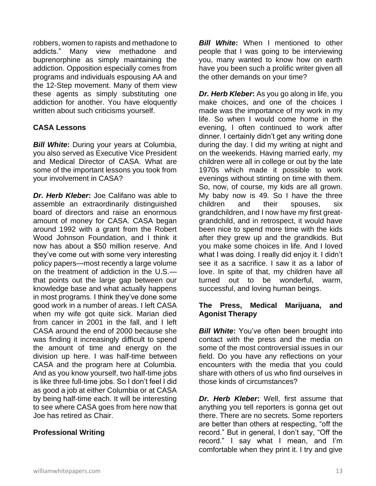robbers, women to rapists and methadone to addicts." Many view methadone and buprenorphine as simply maintaining the addiction. Opposition especially comes from programs and individuals espousing AA and the 12-Step movement. Many of them view these agents as simply substituting one addiction for another. You have eloquently written about such criticisms yourself.

# **CASA Lessons**

*Bill White***:** During your years at Columbia, you also served as Executive Vice President and Medical Director of CASA. What are some of the important lessons you took from your involvement in CASA?

*Dr. Herb Kleber***:** Joe Califano was able to assemble an extraordinarily distinguished board of directors and raise an enormous amount of money for CASA. CASA began around 1992 with a grant from the Robert Wood Johnson Foundation, and I think it now has about a \$50 million reserve. And they've come out with some very interesting policy papers—most recently a large volume on the treatment of addiction in the U.S. that points out the large gap between our knowledge base and what actually happens in most programs. I think they've done some good work in a number of areas. I left CASA when my wife got quite sick. Marian died from cancer in 2001 in the fall, and I left CASA around the end of 2000 because she was finding it increasingly difficult to spend the amount of time and energy on the division up here. I was half-time between CASA and the program here at Columbia. And as you know yourself, two half-time jobs is like three full-time jobs. So I don't feel I did as good a job at either Columbia or at CASA by being half-time each. It will be interesting to see where CASA goes from here now that Joe has retired as Chair.

# **Professional Writing**

*Bill White***:** When I mentioned to other people that I was going to be interviewing you, many wanted to know how on earth have you been such a prolific writer given all the other demands on your time?

*Dr. Herb Kleber***:** As you go along in life, you make choices, and one of the choices I made was the importance of my work in my life. So when I would come home in the evening, I often continued to work after dinner. I certainly didn't get any writing done during the day. I did my writing at night and on the weekends. Having married early, my children were all in college or out by the late 1970s which made it possible to work evenings without stinting on time with them. So, now, of course, my kids are all grown. My baby now is 49. So I have the three children and their spouses, six grandchildren, and I now have my first greatgrandchild, and in retrospect, it would have been nice to spend more time with the kids after they grew up and the grandkids. But you make some choices in life. And I loved what I was doing. I really did enjoy it. I didn't see it as a sacrifice. I saw it as a labor of love. In spite of that, my children have all turned out to be wonderful, warm, successful, and loving human beings.

#### **The Press, Medical Marijuana, and Agonist Therapy**

**Bill White:** You've often been brought into contact with the press and the media on some of the most controversial issues in our field. Do you have any reflections on your encounters with the media that you could share with others of us who find ourselves in those kinds of circumstances?

*Dr. Herb Kleber***:** Well, first assume that anything you tell reporters is gonna get out there. There are no secrets. Some reporters are better than others at respecting, "off the record." But in general, I don't say, "Off the record." I say what I mean, and I'm comfortable when they print it. I try and give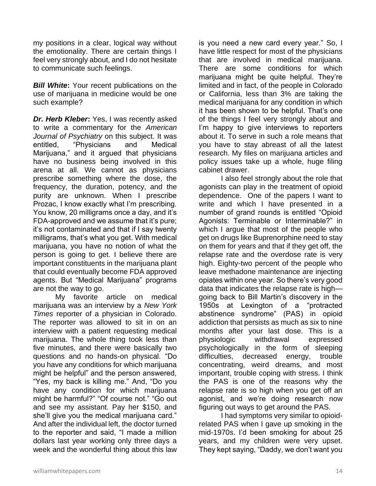my positions in a clear, logical way without the emotionality. There are certain things I feel very strongly about, and I do not hesitate to communicate such feelings.

*Bill White***:** Your recent publications on the use of marijuana in medicine would be one such example?

*Dr. Herb Kleber***:** Yes, I was recently asked to write a commentary for the *American Journal of Psychiatry* on this subject. It was entitled, "Physicians and Medical Marijuana," and it argued that physicians have no business being involved in this arena at all. We cannot as physicians prescribe something where the dose, the frequency, the duration, potency, and the purity are unknown. When I prescribe Prozac, I know exactly what I'm prescribing. You know, 20 milligrams once a day, and it's FDA-approved and we assume that it's pure; it's not contaminated and that if I say twenty milligrams, that's what you get. With medical marijuana, you have no notion of what the person is going to get. I believe there are important constituents in the marijuana plant that could eventually become FDA approved agents. But "Medical Marijuana" programs are not the way to go.

My favorite article on medical marijuana was an interview by a *New York Times* reporter of a physician in Colorado. The reporter was allowed to sit in on an interview with a patient requesting medical marijuana. The whole thing took less than five minutes, and there were basically two questions and no hands-on physical. "Do you have any conditions for which marijuana might be helpful" and the person answered, "Yes, my back is killing me." And, "Do you have any condition for which marijuana might be harmful?" "Of course not." "Go out and see my assistant. Pay her \$150, and she'll give you the medical marijuana card." And after the individual left, the doctor turned to the reporter and said, "I made a million dollars last year working only three days a week and the wonderful thing about this law

is you need a new card every year." So, I have little respect for most of the physicians that are involved in medical marijuana. There are some conditions for which marijuana might be quite helpful. They're limited and in fact, of the people in Colorado or California, less than 3% are taking the medical marijuana for any condition in which it has been shown to be helpful. That's one of the things I feel very strongly about and I'm happy to give interviews to reporters about it. To serve in such a role means that you have to stay abreast of all the latest research. My files on marijuana articles and policy issues take up a whole, huge filing cabinet drawer.

I also feel strongly about the role that agonists can play in the treatment of opioid dependence. One of the papers I want to write and which I have presented in a number of grand rounds is entitled "Opioid Agonists: Terminable or Interminable?" in which I argue that most of the people who get on drugs like Buprenorphine need to stay on them for years and that if they get off, the relapse rate and the overdose rate is very high. Eighty-two percent of the people who leave methadone maintenance are injecting opiates within one year. So there's very good data that indicates the relapse rate is high going back to Bill Martin's discovery in the 1950s at Lexington of a "protracted abstinence syndrome" (PAS) in opioid addiction that persists as much as six to nine months after your last dose. This is a physiologic withdrawal expressed psychologically in the form of sleeping difficulties, decreased energy, trouble concentrating, weird dreams, and most important, trouble coping with stress. I think the PAS is one of the reasons why the relapse rate is so high when you get off an agonist, and we're doing research now figuring out ways to get around the PAS.

I had symptoms very similar to opioidrelated PAS when I gave up smoking in the mid-1970s. I'd been smoking for about 25 years, and my children were very upset. They kept saying, "Daddy, we don't want you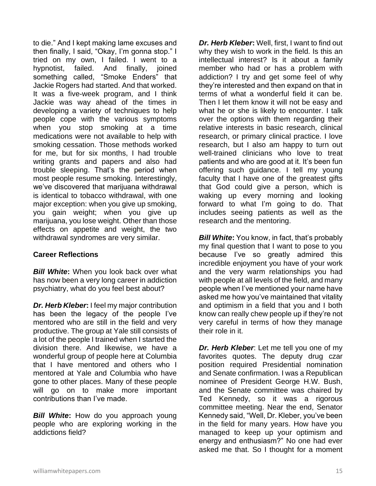to die." And I kept making lame excuses and then finally, I said, "Okay, I'm gonna stop." I tried on my own, I failed. I went to a hypnotist, failed. And finally, joined something called, "Smoke Enders" that Jackie Rogers had started. And that worked. It was a five-week program, and I think Jackie was way ahead of the times in developing a variety of techniques to help people cope with the various symptoms when you stop smoking at a time medications were not available to help with smoking cessation. Those methods worked for me, but for six months, I had trouble writing grants and papers and also had trouble sleeping. That's the period when most people resume smoking. Interestingly, we've discovered that marijuana withdrawal is identical to tobacco withdrawal, with one major exception: when you give up smoking, you gain weight; when you give up marijuana, you lose weight. Other than those effects on appetite and weight, the two withdrawal syndromes are very similar.

# **Career Reflections**

*Bill White***:** When you look back over what has now been a very long career in addiction psychiatry, what do you feel best about?

*Dr. Herb Kleber***:** I feel my major contribution has been the legacy of the people I've mentored who are still in the field and very productive. The group at Yale still consists of a lot of the people I trained when I started the division there. And likewise, we have a wonderful group of people here at Columbia that I have mentored and others who I mentored at Yale and Columbia who have gone to other places. Many of these people will go on to make more important contributions than I've made.

*Bill White*: How do you approach young people who are exploring working in the addictions field?

*Dr. Herb Kleber***:** Well, first, I want to find out why they wish to work in the field. Is this an intellectual interest? Is it about a family member who had or has a problem with addiction? I try and get some feel of why they're interested and then expand on that in terms of what a wonderful field it can be. Then I let them know it will not be easy and what he or she is likely to encounter. I talk over the options with them regarding their relative interests in basic research, clinical research, or primary clinical practice. I love research, but I also am happy to turn out well-trained clinicians who love to treat patients and who are good at it. It's been fun offering such guidance. I tell my young faculty that I have one of the greatest gifts that God could give a person, which is waking up every morning and looking forward to what I'm going to do. That includes seeing patients as well as the research and the mentoring.

*Bill White:* You know, in fact, that's probably my final question that I want to pose to you because I've so greatly admired this incredible enjoyment you have of your work and the very warm relationships you had with people at all levels of the field, and many people when I've mentioned your name have asked me how you've maintained that vitality and optimism in a field that you and I both know can really chew people up if they're not very careful in terms of how they manage their role in it.

*Dr. Herb Kleber*: Let me tell you one of my favorites quotes. The deputy drug czar position required Presidential nomination and Senate confirmation. I was a Republican nominee of President George H.W. Bush, and the Senate committee was chaired by Ted Kennedy, so it was a rigorous committee meeting. Near the end, Senator Kennedy said, "Well, Dr. Kleber, you've been in the field for many years. How have you managed to keep up your optimism and energy and enthusiasm?" No one had ever asked me that. So I thought for a moment